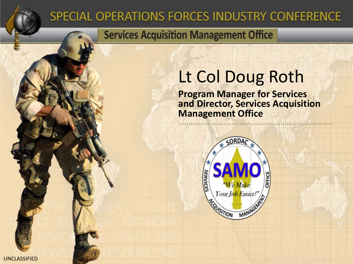### SPECIAL OPERATIONS FORCES INDUSTRY CONFERENCE

### **Services Acquisition Management Office**

## Lt Col Doug Roth

**Program Manager for Services and Director, Services Acquisition Management Office**

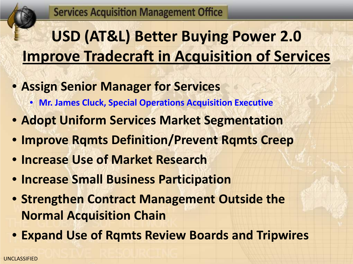# **USD (AT&L) Better Buying Power 2.0 Improve Tradecraft in Acquisition of Services**

- **Assign Senior Manager for Services**
	- **Mr. James Cluck, Special Operations Acquisition Executive**
- **Adopt Uniform Services Market Segmentation**
- **Improve Rqmts Definition/Prevent Rqmts Creep**
- **Increase Use of Market Research**
- **Increase Small Business Participation**
- **Strengthen Contract Management Outside the Normal Acquisition Chain**
- **Expand Use of Rqmts Review Boards and Tripwires**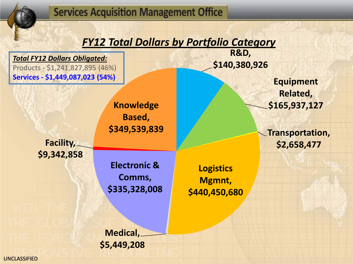### *FY12 Total Dollars by Portfolio Category*

*Total FY12 Dollars Obligated:* Products - \$1,241,827,895 (46%) **Services - \$1,449,087,023 (54%)**

> **Knowledge Based, \$349,539,839**

**Facility, \$9,342,858**

> **Electronic & Comms, \$335,328,008**

**Logistics Mgmnt, \$440,450,680**

**R&D,** 

**\$140,380,926**

**Medical, \$5,449,208**

**Equipment Related, \$165,937,127**

**Transportation, \$2,658,477**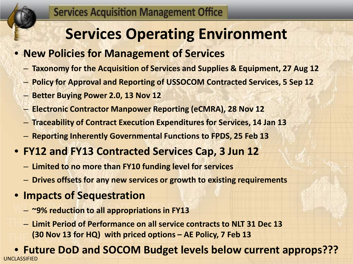## **Services Operating Environment**

### • **New Policies for Management of Services**

- **Taxonomy for the Acquisition of Services and Supplies & Equipment, 27 Aug 12**
- **Policy for Approval and Reporting of USSOCOM Contracted Services, 5 Sep 12**
- **Better Buying Power 2.0, 13 Nov 12**
- **Electronic Contractor Manpower Reporting (eCMRA), 28 Nov 12**
- **Traceability of Contract Execution Expenditures for Services, 14 Jan 13**
- **Reporting Inherently Governmental Functions to FPDS, 25 Feb 13**
- **FY12 and FY13 Contracted Services Cap, 3 Jun 12**
	- **Limited to no more than FY10 funding level for services**
	- **Drives offsets for any new services or growth to existing requirements**
- **Impacts of Sequestration**
	- **~9% reduction to all appropriations in FY13**
	- **Limit Period of Performance on all service contracts to NLT 31 Dec 13 (30 Nov 13 for HQ) with priced options – AE Policy, 7 Feb 13**

UNCLASSIFIED • **Future DoD and SOCOM Budget levels below current approps???**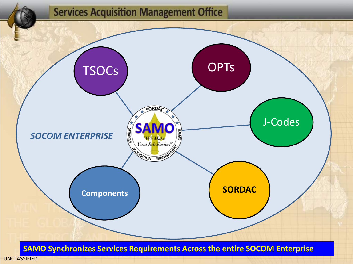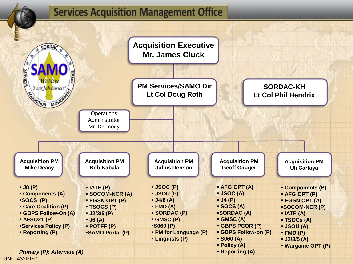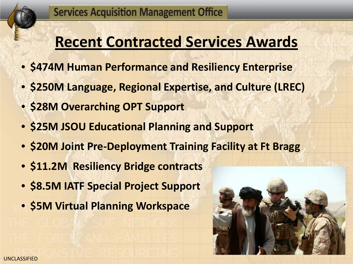## **Recent Contracted Services Awards**

- **\$474M Human Performance and Resiliency Enterprise**
- **\$250M Language, Regional Expertise, and Culture (LREC)**
- **\$28M Overarching OPT Support**
- **\$25M JSOU Educational Planning and Support**
- **\$20M Joint Pre-Deployment Training Facility at Ft Bragg**
- **\$11.2M Resiliency Bridge contracts**
- **\$8.5M IATF Special Project Support**
- **\$5M Virtual Planning Workspace**

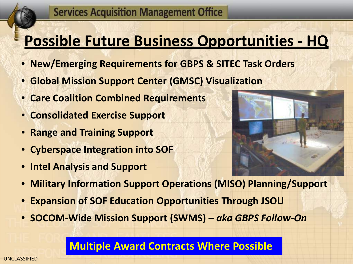## **Possible Future Business Opportunities - HQ**

- **New/Emerging Requirements for GBPS & SITEC Task Orders**
- **Global Mission Support Center (GMSC) Visualization**
- **Care Coalition Combined Requirements**
- **Consolidated Exercise Support**
- **Range and Training Support**
- **Cyberspace Integration into SOF**
- **Intel Analysis and Support**



- **Military Information Support Operations (MISO) Planning/Support**
- **Expansion of SOF Education Opportunities Through JSOU**
- **SOCOM-Wide Mission Support (SWMS) –** *aka GBPS Follow-On*

### **Multiple Award Contracts Where Possible**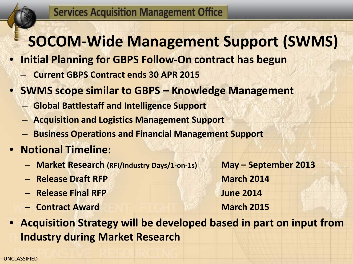## **SOCOM-Wide Management Support (SWMS)**

- **Initial Planning for GBPS Follow-On contract has begun**
	- **Current GBPS Contract ends 30 APR 2015**
- **SWMS scope similar to GBPS – Knowledge Management**
	- **Global Battlestaff and Intelligence Support**
	- **Acquisition and Logistics Management Support**
	- **Business Operations and Financial Management Support**
- **Notional Timeline:**
	- **Market Research (RFI/Industry Days/1-on-1s) May – September 2013**
	- **Release Draft RFP March 2014**
	- **Release Final RFP June 2014**
	- **Contract Award March 2015**

• **Acquisition Strategy will be developed based in part on input from Industry during Market Research**